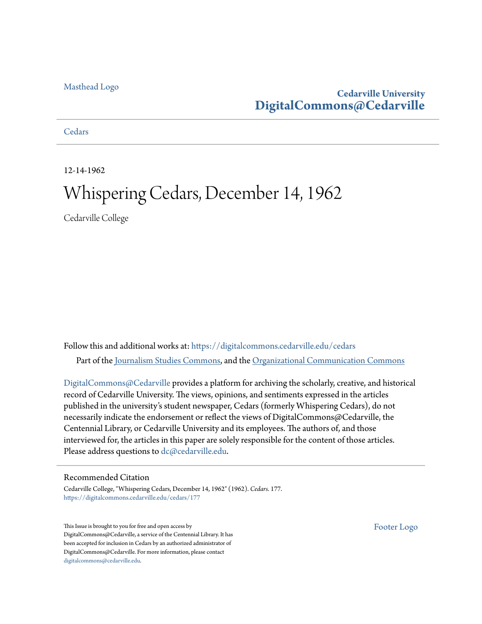#### [Masthead Logo](http://www.cedarville.edu/?utm_source=digitalcommons.cedarville.edu%2Fcedars%2F177&utm_medium=PDF&utm_campaign=PDFCoverPages)

### **Cedarville University [DigitalCommons@Cedarville](https://digitalcommons.cedarville.edu?utm_source=digitalcommons.cedarville.edu%2Fcedars%2F177&utm_medium=PDF&utm_campaign=PDFCoverPages)**

**[Cedars](https://digitalcommons.cedarville.edu/cedars?utm_source=digitalcommons.cedarville.edu%2Fcedars%2F177&utm_medium=PDF&utm_campaign=PDFCoverPages)** 

12-14-1962

# Whispering Cedars, December 14, 1962

Cedarville College

Follow this and additional works at: [https://digitalcommons.cedarville.edu/cedars](https://digitalcommons.cedarville.edu/cedars?utm_source=digitalcommons.cedarville.edu%2Fcedars%2F177&utm_medium=PDF&utm_campaign=PDFCoverPages) Part of the [Journalism Studies Commons](http://network.bepress.com/hgg/discipline/333?utm_source=digitalcommons.cedarville.edu%2Fcedars%2F177&utm_medium=PDF&utm_campaign=PDFCoverPages), and the [Organizational Communication Commons](http://network.bepress.com/hgg/discipline/335?utm_source=digitalcommons.cedarville.edu%2Fcedars%2F177&utm_medium=PDF&utm_campaign=PDFCoverPages)

[DigitalCommons@Cedarville](http://digitalcommons.cedarville.edu/) provides a platform for archiving the scholarly, creative, and historical record of Cedarville University. The views, opinions, and sentiments expressed in the articles published in the university's student newspaper, Cedars (formerly Whispering Cedars), do not necessarily indicate the endorsement or reflect the views of DigitalCommons@Cedarville, the Centennial Library, or Cedarville University and its employees. The authors of, and those interviewed for, the articles in this paper are solely responsible for the content of those articles. Please address questions to [dc@cedarville.edu.](mailto:dc@cedarville.edu)

#### Recommended Citation

Cedarville College, "Whispering Cedars, December 14, 1962" (1962). *Cedars*. 177. [https://digitalcommons.cedarville.edu/cedars/177](https://digitalcommons.cedarville.edu/cedars/177?utm_source=digitalcommons.cedarville.edu%2Fcedars%2F177&utm_medium=PDF&utm_campaign=PDFCoverPages)

This Issue is brought to you for free and open access by DigitalCommons@Cedarville, a service of the Centennial Library. It has been accepted for inclusion in Cedars by an authorized administrator of DigitalCommons@Cedarville. For more information, please contact [digitalcommons@cedarville.edu](mailto:digitalcommons@cedarville.edu).

[Footer Logo](http://www.cedarville.edu/Academics/Library.aspx?utm_source=digitalcommons.cedarville.edu%2Fcedars%2F177&utm_medium=PDF&utm_campaign=PDFCoverPages)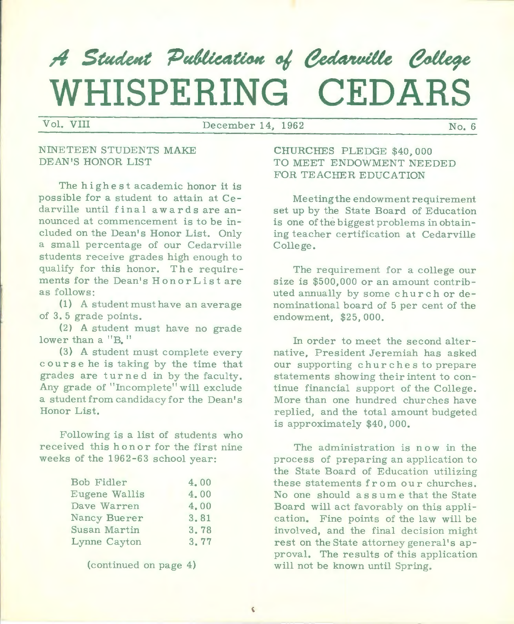# A Student Publication of Cedarville College **WHISPERING CEDARS**

Vol. VIII December 14, 1962 No. 6

#### NINETEEN STUDENTS MAKE DEAN 'S HONOR LIST

The highest academic honor it is possible for a student to attain at Cedarville until final awards are announced at commencement is to be included on the Dean's Honor List. Only a small percentage of our Cedarville students receive grades high enough to qualify for this honor. The requirements for the Dean's HonorList are as follows:

(1) A student must have an average of 3. 5 grade points.

(2) A student must have no grade lower than a "B, "

(3) A student must complete every course he is taking by the time that grades are turned in by the faculty. Any grade of "Incomplete" will exclude a student from candidacy for the Dean's Honor List.

Following is a list of students who received this honor for the first nine weeks of the 1962-63 school year:

| Bob Fidler    | 4.00 |
|---------------|------|
| Eugene Wallis | 4.00 |
| Dave Warren   | 4.00 |
| Nancy Buerer  | 3.81 |
| Susan Martin  | 3.78 |
| Lynne Cayton  | 3.77 |
|               |      |

<sup>(</sup>continued on page 4)

CHURCHES PLEDGE \$40,000 TO MEET ENDOWMENT NEEDED FOR TEACHER EDUCATION

Meeting the endowment requirement set up by the State Board of Education is one of the biggest problems in obtaining teacher certification at Cedarville College.

The requirement for a college our size is \$500,000 or an amount contributed annually by some church or denominational board of 5 per cent of the endowment, \$25, 000,

In order to meet the second alternative, President Jeremiah has asked our supporting churches to prepare statements showing their intent to continue financial support of the College. More than one hundred churches have replied, and the total amount budgeted is approximately \$40, 000,

The administration is now in the process of preparing an application to the State Board of Education utilizing these statements from our churches. No one should assume that the State Board will act favorably on this application, Fine points of the law will be involved, and the final decision might rest on the State attorney general's approval. The results of this application will not be known until Spring.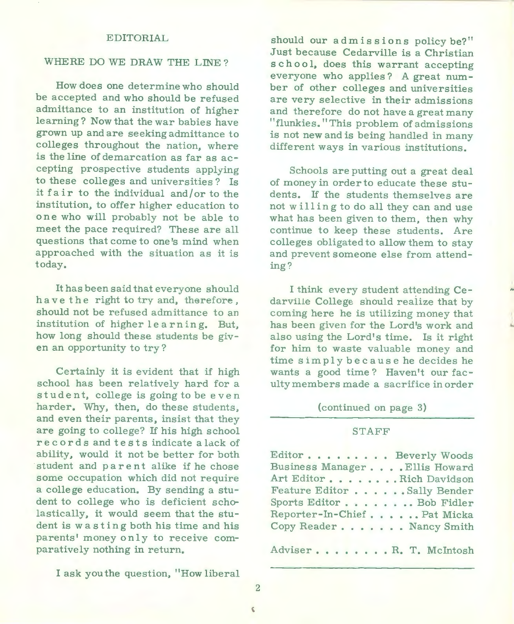#### EDITORIAL

#### WHERE DO WE DRAW THE LINE?

How does one determine who should be accepted and who should be refused admittance to an institution of higher learning? Now that the war babies have grown up and are seeking admittance to colleges throughout the nation, where is the line of demarcation as far as accepting prospective students applying to these colleges and universities? Is it fair to the individual and/ or to the institution, to offer higher education to one who will probably not be able to meet the pace required? These are all questions that come to one's mind when approached with the situation as it is today.

It has been said that everyone should have the right to try and, therefore , should not be refused admittance to an institution of higher learning. But, how long should these students be given an opportunity to try?

Certainly it is evident that if high school has been relatively hard for <sup>a</sup> student, college is going to be even harder. Why, then, do these students, and even their parents, insist that they are going to college? If his high school re c ords and tests indicate a lack of ability, would it not be better for both student and parent alike if he chose some occupation which did not require a college education. By sending a student to college who is deficient scholastically, it would seem that the student is was ting both his time and his parents' money only to receive comparatively nothing in return.

I ask you the question, "How liberal

should our admissions policybe?'' .Just because Cedarville is a Christian school, does this warrant accepting everyone who applies? A great number of other colleges and universities are very selective in their admissions and therefore do not have a great many "flunkies." This problem of admissions is not new and is being handled in many different ways in various institutions.

Schools are putting out a great deal of money in order to educate these stu dents. If the students themselves are not willing to do all they can and use what has been given to them, then why continue to keep these students. Are colleges obligated to allow them to stay and prevent someone else from attending?

I think every student attending Cedarville College should realize that by coming here he is utilizing money that has been given for the Lord's work and also using the Lord's time. Is it right for him to waste valuable money and time simply because he decides he wants a good time? Haven't our faculty members made a sacrifice in order Ä

(continued on page 3)

#### STAFF

Editor . . . . . . . . Beverly Woods Business Manager . . . . Ellis Howard Art Editor • . . . . . . Rich Davidson Feature Editor . . . . . . Sally Bender Sports Editor . . . . . . .. Bob Fidler Reporter-In-Chief . . . . . . Pat Micka Copy Reader . . . . . . Nancy Smith

Adviser.......R.T. McIntosh

2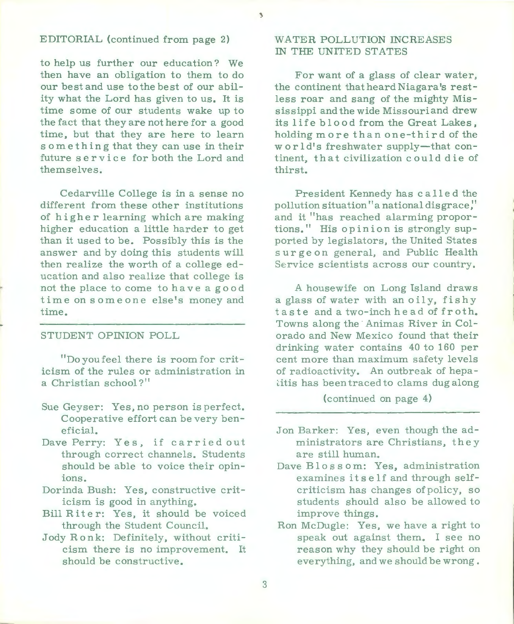#### EDITORIAL (continued from page 2)

to help us further our education? We then have an obligation to them to do our be st and use to the be st of our ability what the Lord has given to us. It is time some of our students wake up to the fact that they are not here for a good time, but that they are here to learn something that they can use in their future service for both the Lord and themselves.

Cedarville College is in a sense no different from these other institutions of higher learning which are making higher education a little harder to get than it used to be. Possibly this is the answer and by doing this students will then realize the worth of a college education and also realize that college is not the place to come to have a good time on someone else's money and time.

#### STUDENT OPINION POLL

"Do you feel there is room for criticism of the rules or administration in a Christian school?"

- Sue Geyser: Yes, no person is perfect. Cooperative effort can be very beneficial.
- Dave Perry: Yes, if carried out through correct channels. Students should be able to voice their opinions.
- Dorinda Bush: Yes, constructive criticism is good in anything.
- Bill Riter: Yes, it should be voiced through the Student Council.
- Jody Ronk: Definitely, without criticism there is no improvement. It should be constructive.

#### WATER POLLUTION INCREASES IN THE UNITED STATES

 $\overline{\phantom{a}}$ 

For want of a glass of clear water, the continent that heard Niagara's restless roar and sang of the mighty Mississippi and the wide Missouri and drew its life blood from the Great Lakes, holding more than one-third of the w or  $1 d's$  freshwater supply-that continent, that civilization c ould die of thirst.

President Kennedy has c a 11 e d the pollution situation" a national dis grace:' and it "has reached alarming proportions." His opinion is strongly supported by legislators, the United States surge on general, and Public Health Service scientists across our country.

A housewife on Long Island draws a glass of water with an oily, fishy taste and a two-inch head of froth. Towns along the· Animas River in Colorado and New Mexico found that their drinking water contains 40 to 160 per cent more than maximum safety levels of radioactivity. An outbreak of hepa itis has been traced to clams dug along

(continued on page 4)

- Jon Barker: Yes, even though the administrators are Christians, they are still human.
- Dave Blossom: Yes, administration examines its elf and through selfcriticism has changes of policy, so students should also be allowed to improve things.
- Ron McDugle: Yes, we have a right to speak out against them. I see no reason why they should be right on everything, and we should be wrong.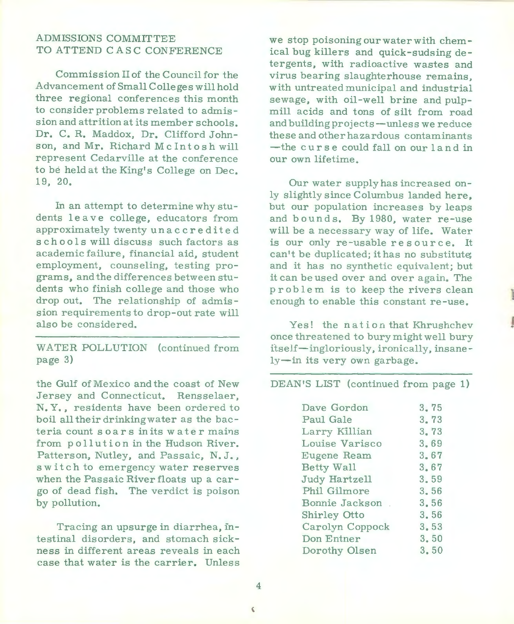#### ADMISSIONS COMMITTEE TO ATTEND CA SC CONFERENCE

Commission II of the Council for the Advancement of Small Colleges will hold three regional conferences this month to consider problems related to admission and attrition at its member schools. Dr. C. R. Maddox, Dr. Clifford Johnson, and Mr. Richard McIntosh will represent Cedarville at the conference to be held at the King's College on Dec. 19, 20.

In an attempt to determine why students leave college, educators from approximately twenty unaccredited schools will discuss such factors as academic failure, financial aid, student employment, counseling, testing programs, and the differences between students who finish college and those who drop out. The relationship of admission requirements to drop-out rate will also be considered.

WATER POLLUTION (continued from page 3)

the Gulf of Mexico and the coast of New Jersey and Connecticut. Rensselaer, N. Y., residents have been ordered to boil all their drinking water as the bacteria count soars in its water mains from pollution in the Hudson River. Patterson, Nutley, and Passaic, N.J., switch to emergency water reserves when the Passaic River floats up a cargo of dead fish. The verdict is poison by pollution.

Tracing an upsurge in diarrhea, intestinal disorders, and stomach sickness in different areas reveals in each case that water is the carrier. Unless

we stop poisoning ourwaterwith chemical bug killers and quick-sudsing detergents, with radioactive wastes and virus bearing slaughterhouse remains, with untreated municipal and industrial sewage, with oil-well brine and pulpmill acids and tons of silt from road and building projects-unless we reduce these and other hazardous contaminants -the curse could fall on our land in our own lifetime.

Our water supply has increased only slightly since Columbus landed here, but our population increases by leaps and bounds. By 1980, water re-use will be <sup>a</sup>necessary way of life. Water is our only re-usable resource. It can't be duplicated; it has no substitute; and it has no synthetic equivalent; but it can be used over and over again. The problem is to keep the rivers clean enough to enable this constant re-use.

Yes! the nation that Khrushchev once threatened to bury might well bury itself-ingloriously, ironically, insanely-in its very own garbage.

1

DEAN'S LIST (continued from page 1)

| Dave Gordon     | 3.75 |
|-----------------|------|
| Paul Gale       | 3.73 |
| Larry Killian   | 3.73 |
| Louise Varisco  | 3.69 |
| Eugene Ream     | 3.67 |
| Betty Wall      | 3.67 |
| Judy Hartzell   | 3.59 |
| Phil Gilmore    | 3.56 |
| Bonnie Jackson  | 3.56 |
| Shirley Otto    | 3.56 |
| Carolyn Coppock | 3.53 |
| Don Entner      | 3.50 |
| Dorothy Olsen   | 3.50 |

 $\zeta$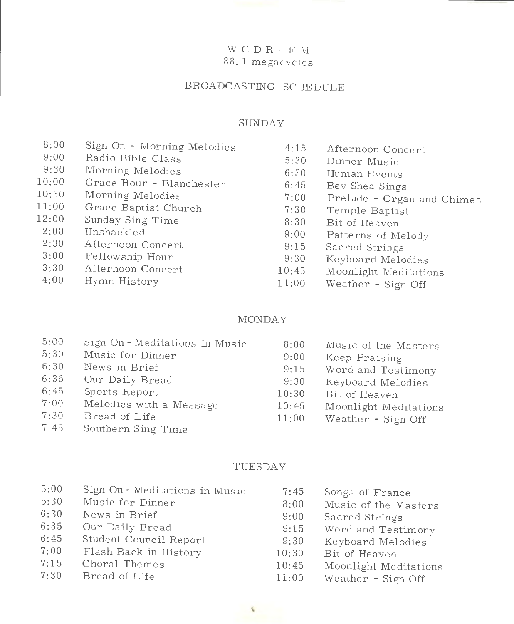#### W C D R - F  $\rm M$ 88. 1 megacycles

#### BROADCASTING SCHEDULE

#### SUNDAY

| 8:00  | Sign On - Morning Melodies | 4:15  | Afternoon Concert          |
|-------|----------------------------|-------|----------------------------|
| 9:00  | Radio Bible Class          | 5:30  | Dinner Music               |
| 9:30  | Morning Melodies           | 6:30  | Human Events               |
| 10:00 | Grace Hour - Blanchester   | 6:45  | Bev Shea Sings             |
| 10:30 | Morning Melodies           | 7:00  | Prelude - Organ and Chimes |
| 11:00 | Grace Baptist Church       | 7:30  | Temple Baptist             |
| 12:00 | Sunday Sing Time           | 8:30  | Bit of Heaven              |
| 2:00  | Unshackled                 | 9:00  | Patterns of Melody         |
| 2:30  | Afternoon Concert          | 9:15  | Sacred Strings             |
| 3:00  | Fellowship Hour            | 9:30  | Keyboard Melodies          |
| 3:30  | Afternoon Concert          | 10:45 | Moonlight Meditations      |
| 4:00  | Hymn History               | 11:00 | Weather - Sign Off         |
|       |                            |       |                            |

#### MONDAY

#### TUESDAY

| 5:00 | Sign On-Meditations in Music | 7:45  | Songs of France       |
|------|------------------------------|-------|-----------------------|
| 5:30 | Music for Dinner             | 8:00  | Music of the Masters  |
| 6:30 | News in Brief                | 9:00  | Sacred Strings        |
| 6:35 | Our Daily Bread              | 9:15  | Word and Testimony    |
| 6:45 | Student Council Report       | 9:30  | Keyboard Melodies     |
| 7:00 | Flash Back in History        | 10:30 | Bit of Heaven         |
| 7:15 | Choral Themes                | 10:45 | Moonlight Meditations |
|      |                              |       |                       |

 $7:30$  Bread of Life  $11:00$ Weather - Sign Off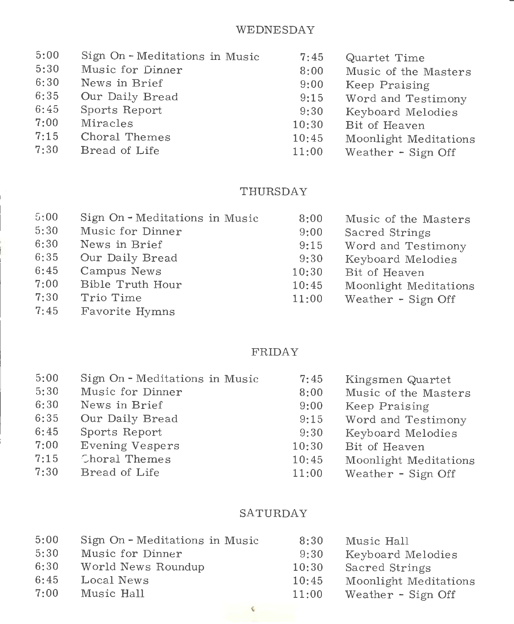#### WEDNESDAY

| 5:00 | Sign On - Meditations in Music | 7:45  | Quartet Time          |
|------|--------------------------------|-------|-----------------------|
| 5:30 | Music for Dinner               | 8:00  | Music of the Masters  |
| 6:30 | News in Brief                  | 9:00  | Keep Praising         |
| 6:35 | Our Daily Bread                | 9:15  | Word and Testimony    |
| 6:45 | Sports Report                  | 9:30  | Keyboard Melodies     |
| 7:00 | Miracles                       | 10:30 | Bit of Heaven         |
| 7:15 | Choral Themes                  | 10:45 | Moonlight Meditations |
| 7:30 | Bread of Life                  | 11:00 | Weather - Sign Off    |
|      |                                |       |                       |

#### THURSDAY

| 5:00 | Sign On - Meditations in Music | 8:00  | Music of the Masters  |
|------|--------------------------------|-------|-----------------------|
| 5:30 | Music for Dinner               | 9:00  | Sacred Strings        |
| 6:30 | News in Brief                  | 9:15  | Word and Testimony    |
| 6:35 | Our Daily Bread                | 9:30  | Keyboard Melodies     |
| 6:45 | Campus News                    | 10:30 | Bit of Heaven         |
| 7:00 | Bible Truth Hour               | 10:45 | Moonlight Meditations |
| 7:30 | Trio Time                      | 11:00 | Weather - Sign Off    |
| 7:45 | Favorite Hymns                 |       |                       |

#### FRIDAY

| Sign On - Meditations in Music | 7:45  | Kingsmen Quartet      |
|--------------------------------|-------|-----------------------|
| Music for Dinner               | 8:00  | Music of the Masters  |
| News in Brief                  | 9:00  | Keep Praising         |
| Our Daily Bread                | 9:15  | Word and Testimony    |
| Sports Report                  | 9:30  | Keyboard Melodies     |
| <b>Evening Vespers</b>         | 10:30 | Bit of Heaven         |
| Choral Themes                  | 10:45 | Moonlight Meditations |
| Bread of Life                  | 11:00 | Weather - Sign Off    |
|                                |       |                       |

#### SATURDAY

| 5:00 | Sign On - Meditations in Music | 8:30  | Music Hall            |
|------|--------------------------------|-------|-----------------------|
| 5:30 | Music for Dinner               | 9:30  | Keyboard Melodies     |
| 6:30 | World News Roundup             | 10:30 | Sacred Strings        |
| 6:45 | Local News                     | 10:45 | Moonlight Meditations |
| 7:00 | Music Hall                     | 11:00 | Weather - Sign Off    |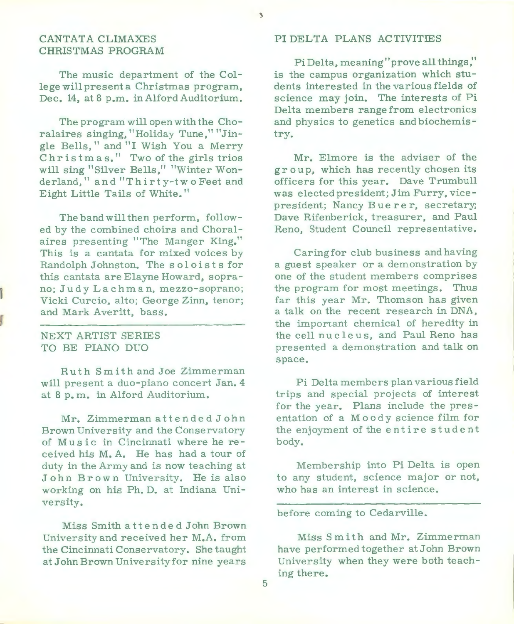#### CANTATA CLIMAXES CHRISTMAS PROGRAM

The music department of the College will present a Christmas program, Dec. 14, at 8 p.m. in Alford Auditorium.

The program will open with the Choralaires singing, "Holiday Tune," "Jingle Bells," and "I Wish You a Merry Christmas." Two of the girls trios will sing "Silver Bells," "Winter Wonderland," and "Thirty-two Feet and Eight Little Tails of White."

The band will then perform, followed by the combined choirs and Choralaires presenting "The Manger King." This is a cantata for mixed voices by Randolph Johnston. The soloists for this cantata are Elayne Howard, soprano; Judy Lach man, mezzo-soprano; Vicki Curcio, alto; George Zinn, tenor; and Mark Averitt, bass.

#### NEXT ARTIST SERIES TO BE PIANO DUO

Ruth Smith and Joe Zimmerman will present a duo-piano concert Jan. 4 at 8 p. m. in Alford Auditorium.

Mr. Zimmerman attended John Brown University and the Conservatory of Music in Cincinnati where he received his M.A. He has had a tour of duty in the Army and is now teaching at John Br own University. He is also working on his Ph. D. at Indiana University.

Miss Smith attended John Brown University and received her M.A. from the Cincinnati Conservatory. She taught at John Brown University for nine years

#### PI DELTA PLANS ACTIVITIES

 $\overline{\phantom{a}}$ 

Pi Delta, meaning "prove all things," is the campus organization which students interested in the various fields of science may join. The interests of Pi Delta members range from electronics and physics to genetics and biochemistry.

Mr. Elmore is the adviser of the group, which has recently chosen its officers for this year. Dave Trumbull was elected president; Jim Furry, vicepresident; Nancy Buerer, secretary; Dave Rifenberick, treasurer, and Paul Reno, Student Council representative.

Caring for club business and having a guest speaker or a demonstration by one of the student members comprises the program for most meetings. Thus far this year Mr. Thomson has given <sup>a</sup>talk on the recent research in DNA, the important chemical of heredity in the cell nucleus, and Paul Reno has presented a demonstration and talk on space.

Pi Delta members plan various field trips and special projects of interest for the year. Plans include the presentation of a Moody science film for the enjoyment of the entire student body.

Membership into Pi Delta is open to any student, science major or not, who has an interest in science.

before coming to Cedarville.

Miss Smith and Mr. Zimmerman have performed together at John Brown University when they were both teaching there.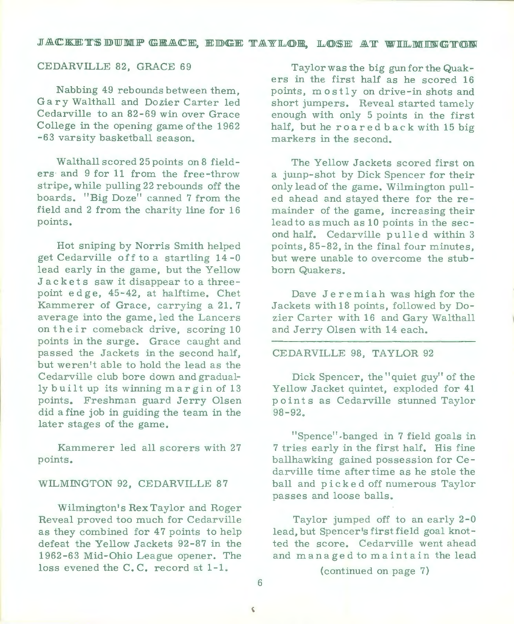#### JACKETSDUMP GRACE, EDGE TAYLOR, LOSE AT WILMINGTON

#### CEDARVILLE 82, GRACE 69

Nabbing 49 rebounds between them, Gary Walthall and Dozier Carter led Cedarville to an 82-69 win over Grace College in the opening game ofthe 1962 -63 varsity basketball season.

Walthall scored 25 points on 8 fielders· and 9 for 11 from the free-throw stripe, while pulling 22 rebounds off the boards. "Big Doze" canned 7 from the field and 2 from the charity line for 16 points.

Hot sniping by Norris Smith helped get Cedarville off to a startling 14 -0 lead early in the game, but the Yellow Jackets saw it disappear to a three point edge, 45-42, at halftime. Chet Kammerer of Grace, carrying a 21. 7 average into the game, led the Lancers on their comeback drive, scoring 10 points in the surge. Grace caught and passed the Jackets in the second half, but weren't able to hold the lead as the Cedarville club bore down and gradually built up its winning margin of 13 points. Freshman guard Jerry Olsen did a fine job in guiding the team in the later stages of the game.

Kammerer led all scorers with 27 points.

#### WILMINGTON 92, CEDARVILLE 87

Wilmington's Rex Taylor and Roger Reveal proved too much for Cedarville as they combined for 47 points to help defeat the Yellow Jackets 92-87 in the 1962-63 Mid-Ohio League opener. The loss evened the C.C. record at 1-1.

Taylor was the big gun for the Quakers in the first half as he scored 16 points, mostly on drive-in shots and short jumpers. Reveal started tamely enough with only 5 points in the first half, but he roared back with 15 big markers in the second.

The Yellow Jackets scored first on <sup>a</sup>jump-shot by Dick Spencer for their only lead of the game. Wilmington pulled ahead and stayed there for the remainder of the game, increasing their lead to as much as 10 points in the second half. Cedarville pulled within 3 points, 85-82, in the final four minutes, but were unable to overcome the stubborn Quakers.

Dave Jeremiah was high for the Jackets with 18 points, followed by Dozier Carter with 16 and Gary Walthall and Jerry Olsen with 14 each.

#### CEDARVILLE 98, TAYLOR 92

Dick Spencer, the" quiet guy" of the Yellow Jacket quintet, exploded for 41 points as Cedarville stunned Taylor 98-92.

"Spence" ,banged in 7 field goals in 7 tries early in the first half. His fine ballhawking gained possession for Cedarville time after time as he stole the ball and picked off numerous Taylor passes and loose balls.

Taylor jumped off to an early 2-0 lead, but Spencer's first field goal knotted the score. Cedarville went ahead and managed to maintain the lead

(continued on page 7)

6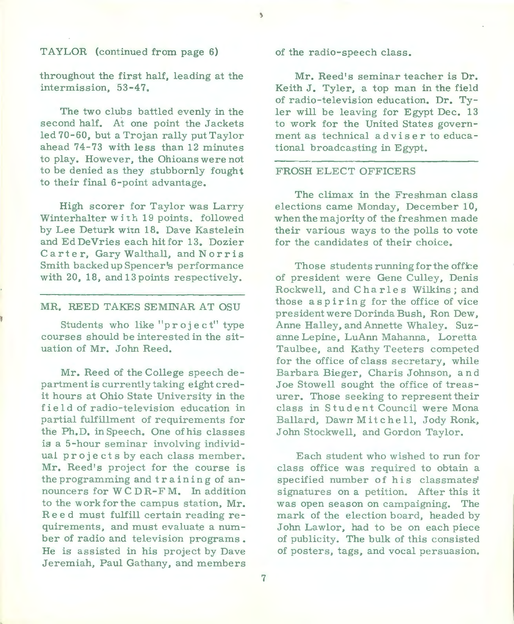#### TAYLOR (continued from page 6)

throughout the first half, leading at the intermission, 53-47.

The two clubs battled evenly in the second half. At one point the Jackets led 70-60, but a Trojan rally pu<sup>t</sup>Taylor ahead 74-73 with less than 12 minutes to play. However, the Ohioans were not to be denied as they stubbornly fought to their final 6-point advantage.

High scorer for Taylor was Larry Winterhalter with 19 points. followed by Lee Deturk witn 18. Dave Kastelein and Ed DeVries each hit for 13. Dozier Carter, Gary Walthall, and Norris Smith backed up Spencer's performance with 20, 18, and 13 points respectively.

MR. REED TAKES SEMINAR AT OSU

Students who like "project" type courses should be interested in the situation of Mr. John Reed.

Mr. Reed of the College speech department is currently taking eight credit hours at Ohio State University in the field of radio-television education in partial fulfillment of requirements for the Ph.D. inSpeech. One ofhis classes is a 5-hour seminar involving individual projects by each class member. Mr. Reed's project for the course is the programming and training of announcers for WC DR-FM. In addition to the work for the campus station, Mr. Ree d must fulfill certain reading re quirements, and must evaluate a number of radio and television programs . He is assisted in his project by Dave Jeremiah, Paul Gathany, and members of the radio-speech class.

Mr. Reed's seminar teacher is Dr. Keith J. Tyler, a top man in the field of radio-television education. Dr. Tyler will be leaving for Egypt Dec. 13 to work for the United States government as technical adviser to educational broadcasting in Egypt.

#### FROSH ELECT OFFICERS

The climax in the Freshman class elections came Monday, December 10, when the majority of the freshmen made their various ways to the polls to vote for the candidates of their choice.

Those students running for the office of president were Gene Culley, Denis Rockwell, and Charles Wilkins; and those aspiring for the office of vice president were Dorinda Bush, Ron Dew, Anne Halley, and Annette Whaley. Suzanne Lepine, LuAnn Mahanna, Loretta Taulbee, and Kathy Teeters competed for the office of class secretary, while Barbara Bieger, Charis Johnson, and Joe Stowell sought the office of treasurer. Those seeking to represent their class in Student Council were Mona Ballard, Dawn Mitch e 11, Jody Ronk, John Stockwell, and Gordon Taylor.

Each student who wished to run for class office was required to obtain <sup>a</sup> specified number of his classmates' signatures on a petition. After this it was open season on campaigning. The mark of the election board, headed by John Lawlor, had to be on each piece of publicity. The bulk of this consisted of posters, tags, and vocal persuasion.